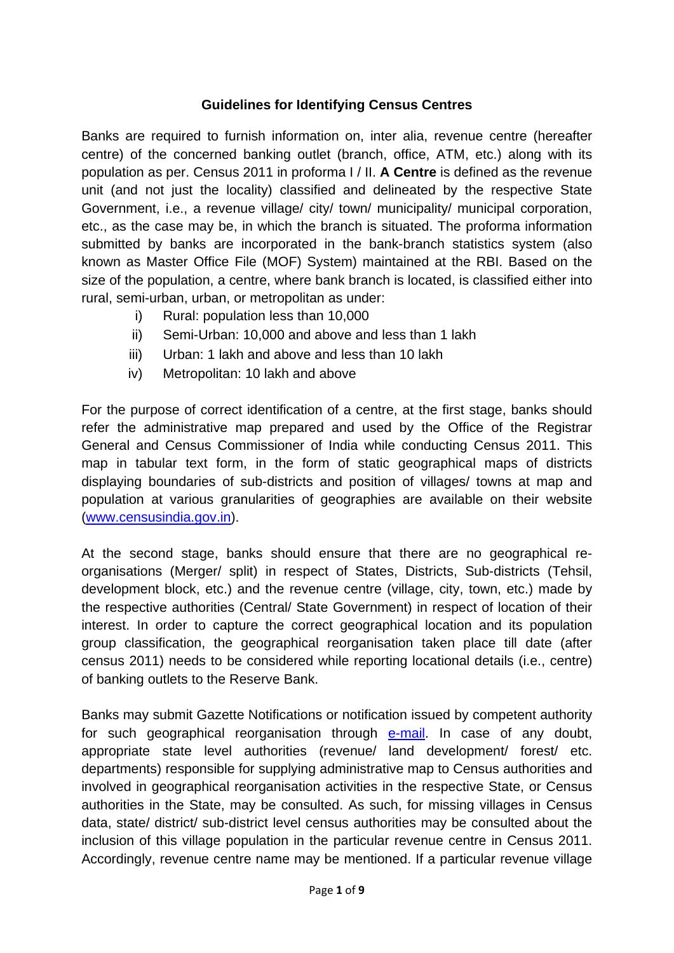#### **Guidelines for Identifying Census Centres**

Banks are required to furnish information on, inter alia, revenue centre (hereafter centre) of the concerned banking outlet (branch, office, ATM, etc.) along with its population as per. Census 2011 in proforma I / II. **A Centre** is defined as the revenue unit (and not just the locality) classified and delineated by the respective State Government, i.e., a revenue village/ city/ town/ municipality/ municipal corporation, etc., as the case may be, in which the branch is situated. The proforma information submitted by banks are incorporated in the bank-branch statistics system (also known as Master Office File (MOF) System) maintained at the RBI. Based on the size of the population, a centre, where bank branch is located, is classified either into rural, semi-urban, urban, or metropolitan as under:

- i) Rural: population less than 10,000
- ii) Semi-Urban: 10,000 and above and less than 1 lakh
- iii) Urban: 1 lakh and above and less than 10 lakh
- iv) Metropolitan: 10 lakh and above

For the purpose of correct identification of a centre, at the first stage, banks should refer the administrative map prepared and used by the Office of the Registrar General and Census Commissioner of India while conducting Census 2011. This map in tabular text form, in the form of static geographical maps of districts displaying boundaries of sub-districts and position of villages/ towns at map and population at various granularities of geographies are available on their website [\(www.censusindia.gov.in\)](http://www.censusindia.gov.in/).

At the second stage, banks should ensure that there are no geographical reorganisations (Merger/ split) in respect of States, Districts, Sub-districts (Tehsil, development block, etc.) and the revenue centre (village, city, town, etc.) made by the respective authorities (Central/ State Government) in respect of location of their interest. In order to capture the correct geographical location and its population group classification, the geographical reorganisation taken place till date (after census 2011) needs to be considered while reporting locational details (i.e., centre) of banking outlets to the Reserve Bank.

Banks may submit Gazette Notifications or notification issued by competent authority for such geographical reorganisation through [e-mail.](mailto:mofbsd@rbi.org.in) In case of any doubt, appropriate state level authorities (revenue/ land development/ forest/ etc. departments) responsible for supplying administrative map to Census authorities and involved in geographical reorganisation activities in the respective State, or Census authorities in the State, may be consulted. As such, for missing villages in Census data, state/ district/ sub-district level census authorities may be consulted about the inclusion of this village population in the particular revenue centre in Census 2011. Accordingly, revenue centre name may be mentioned. If a particular revenue village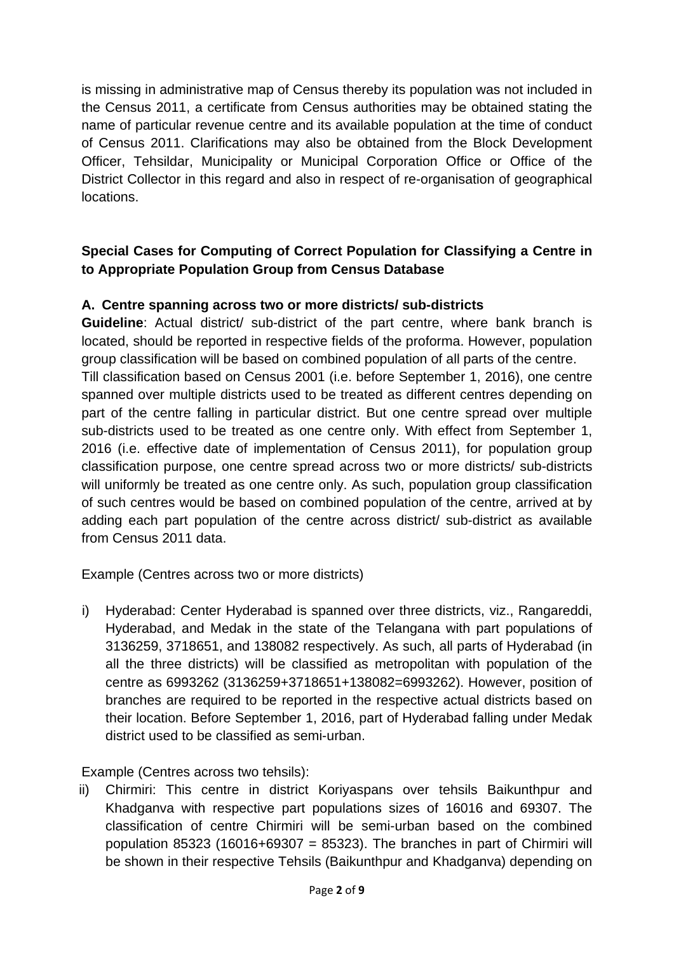is missing in administrative map of Census thereby its population was not included in the Census 2011, a certificate from Census authorities may be obtained stating the name of particular revenue centre and its available population at the time of conduct of Census 2011. Clarifications may also be obtained from the Block Development Officer, Tehsildar, Municipality or Municipal Corporation Office or Office of the District Collector in this regard and also in respect of re-organisation of geographical locations.

# **Special Cases for Computing of Correct Population for Classifying a Centre in to Appropriate Population Group from Census Database**

### **A. Centre spanning across two or more districts/ sub-districts**

**Guideline**: Actual district/ sub-district of the part centre, where bank branch is located, should be reported in respective fields of the proforma. However, population group classification will be based on combined population of all parts of the centre. Till classification based on Census 2001 (i.e. before September 1, 2016), one centre spanned over multiple districts used to be treated as different centres depending on part of the centre falling in particular district. But one centre spread over multiple sub-districts used to be treated as one centre only. With effect from September 1, 2016 (i.e. effective date of implementation of Census 2011), for population group classification purpose, one centre spread across two or more districts/ sub-districts will uniformly be treated as one centre only. As such, population group classification of such centres would be based on combined population of the centre, arrived at by adding each part population of the centre across district/ sub-district as available from Census 2011 data.

Example (Centres across two or more districts)

i) Hyderabad: Center Hyderabad is spanned over three districts, viz., Rangareddi, Hyderabad, and Medak in the state of the Telangana with part populations of 3136259, 3718651, and 138082 respectively. As such, all parts of Hyderabad (in all the three districts) will be classified as metropolitan with population of the centre as 6993262 (3136259+3718651+138082=6993262). However, position of branches are required to be reported in the respective actual districts based on their location. Before September 1, 2016, part of Hyderabad falling under Medak district used to be classified as semi-urban.

Example (Centres across two tehsils):

ii) Chirmiri: This centre in district Koriyaspans over tehsils Baikunthpur and Khadganva with respective part populations sizes of 16016 and 69307. The classification of centre Chirmiri will be semi-urban based on the combined population 85323 (16016+69307 = 85323). The branches in part of Chirmiri will be shown in their respective Tehsils (Baikunthpur and Khadganva) depending on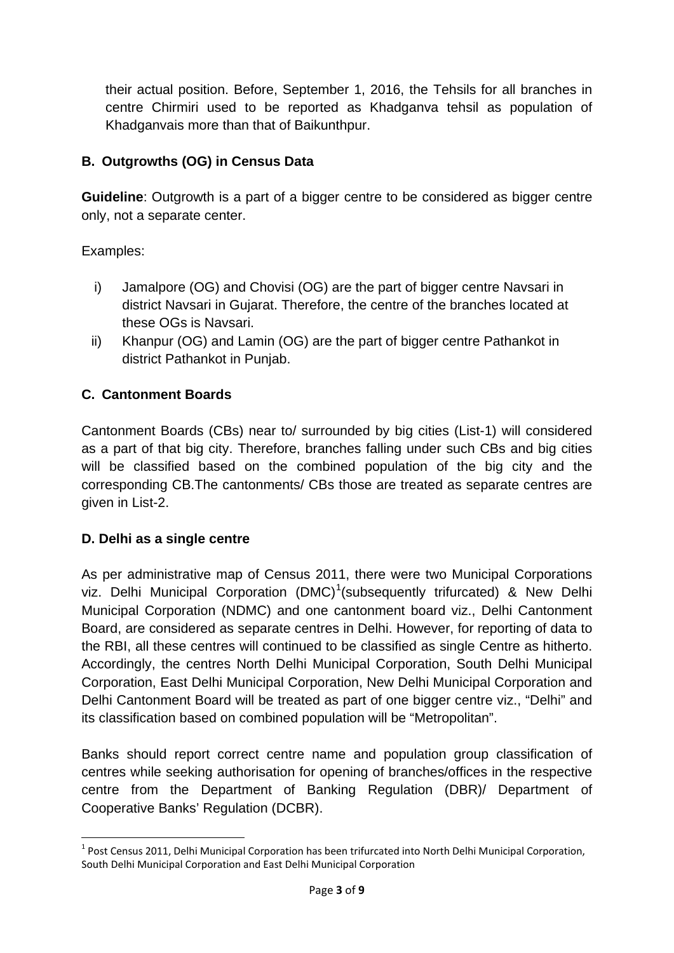their actual position. Before, September 1, 2016, the Tehsils for all branches in centre Chirmiri used to be reported as Khadganva tehsil as population of Khadganvais more than that of Baikunthpur.

## **B. Outgrowths (OG) in Census Data**

**Guideline**: Outgrowth is a part of a bigger centre to be considered as bigger centre only, not a separate center.

Examples:

- i) Jamalpore (OG) and Chovisi (OG) are the part of bigger centre Navsari in district Navsari in Gujarat. Therefore, the centre of the branches located at these OGs is Navsari.
- ii) Khanpur (OG) and Lamin (OG) are the part of bigger centre Pathankot in district Pathankot in Punjab.

# **C. Cantonment Boards**

Cantonment Boards (CBs) near to/ surrounded by big cities (List-1) will considered as a part of that big city. Therefore, branches falling under such CBs and big cities will be classified based on the combined population of the big city and the corresponding CB.The cantonments/ CBs those are treated as separate centres are given in List-2.

## **D. Delhi as a single centre**

As per administrative map of Census 2011, there were two Municipal Corporations viz. Delhi Municipal Corporation  $(DMC)^1$  $(DMC)^1$ (subsequently trifurcated) & New Delhi Municipal Corporation (NDMC) and one cantonment board viz., Delhi Cantonment Board, are considered as separate centres in Delhi. However, for reporting of data to the RBI, all these centres will continued to be classified as single Centre as hitherto. Accordingly, the centres North Delhi Municipal Corporation, South Delhi Municipal Corporation, East Delhi Municipal Corporation, New Delhi Municipal Corporation and Delhi Cantonment Board will be treated as part of one bigger centre viz., "Delhi" and its classification based on combined population will be "Metropolitan".

Banks should report correct centre name and population group classification of centres while seeking authorisation for opening of branches/offices in the respective centre from the Department of Banking Regulation (DBR)/ Department of Cooperative Banks' Regulation (DCBR).

<span id="page-2-0"></span><sup>&</sup>lt;sup>1</sup> Post Census 2011, Delhi Municipal Corporation has been trifurcated into North Delhi Municipal Corporation, South Delhi Municipal Corporation and East Delhi Municipal Corporation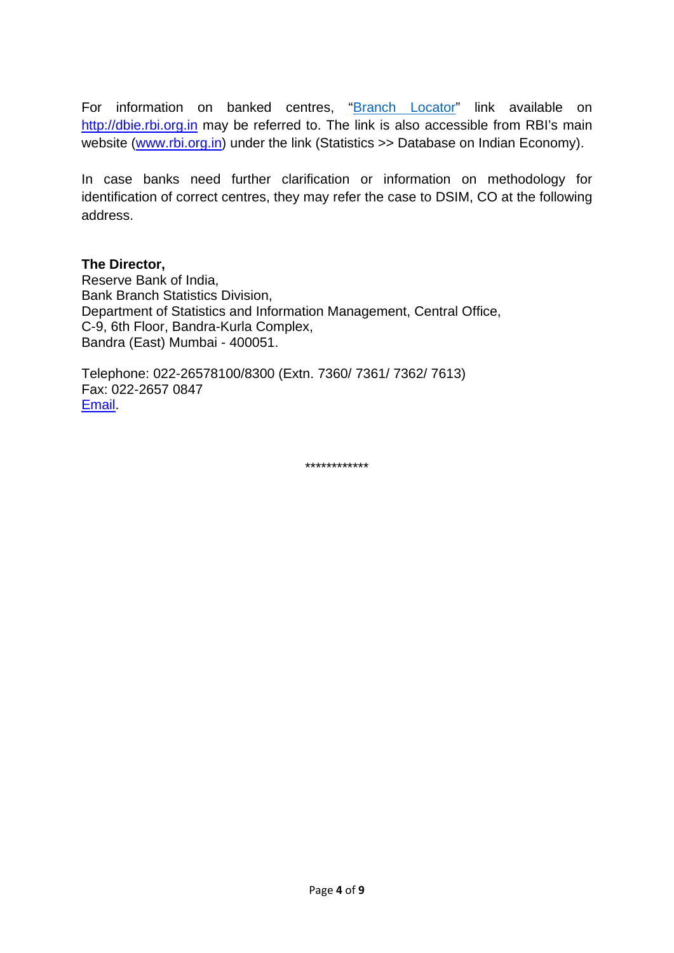For information on banked centres, ["Branch Locator"](http://dbie.rbi.org.in/) link available on [http://dbie.rbi.org.in](http://dbie.rbi.org.in/) may be referred to. The link is also accessible from RBI's main website [\(www.rbi.org.in\)](http://www.rbi.org.in/) under the link (Statistics >> Database on Indian Economy).

In case banks need further clarification or information on methodology for identification of correct centres, they may refer the case to DSIM, CO at the following address.

#### **The Director,**

Reserve Bank of India, Bank Branch Statistics Division, Department of Statistics and Information Management, Central Office, C-9, 6th Floor, Bandra-Kurla Complex, Bandra (East) Mumbai - 400051.

Telephone: 022-26578100/8300 (Extn. 7360/ 7361/ 7362/ 7613) Fax: 022-2657 0847 [Email.](mailto:mofbsd@rbi.org.in)

\*\*\*\*\*\*\*\*\*\*\*\*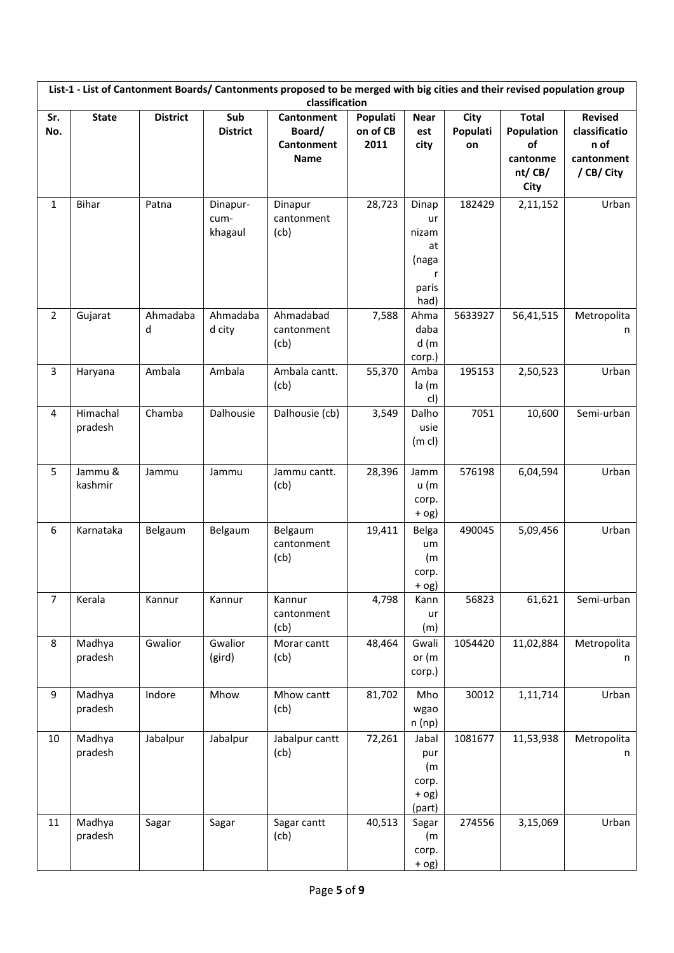|                | List-1 - List of Cantonment Boards/Cantonments proposed to be merged with big cities and their revised population group<br>classification |                 |                             |                                                          |                              |                                                           |                        |                                                                |                                                                     |  |
|----------------|-------------------------------------------------------------------------------------------------------------------------------------------|-----------------|-----------------------------|----------------------------------------------------------|------------------------------|-----------------------------------------------------------|------------------------|----------------------------------------------------------------|---------------------------------------------------------------------|--|
| Sr.<br>No.     | <b>State</b>                                                                                                                              | <b>District</b> | Sub<br><b>District</b>      | Cantonment<br>Board/<br><b>Cantonment</b><br><b>Name</b> | Populati<br>on of CB<br>2011 | <b>Near</b><br>est<br>city                                | City<br>Populati<br>on | <b>Total</b><br>Population<br>of<br>cantonme<br>nt/CB/<br>City | <b>Revised</b><br>classificatio<br>n of<br>cantonment<br>/ CB/ City |  |
| $\mathbf{1}$   | <b>Bihar</b>                                                                                                                              | Patna           | Dinapur-<br>cum-<br>khagaul | Dinapur<br>cantonment<br>(cb)                            | 28,723                       | Dinap<br>ur<br>nizam<br>at<br>(naga<br>r<br>paris<br>had) | 182429                 | 2,11,152                                                       | Urban                                                               |  |
| $\overline{2}$ | Gujarat                                                                                                                                   | Ahmadaba<br>d   | Ahmadaba<br>d city          | Ahmadabad<br>cantonment<br>(cb)                          | 7,588                        | Ahma<br>daba<br>d(m)<br>corp.)                            | 5633927                | 56,41,515                                                      | Metropolita<br>n                                                    |  |
| $\overline{3}$ | Haryana                                                                                                                                   | Ambala          | Ambala                      | Ambala cantt.<br>(cb)                                    | 55,370                       | Amba<br>la (m<br>cl)                                      | 195153                 | 2,50,523                                                       | Urban                                                               |  |
| 4              | Himachal<br>pradesh                                                                                                                       | Chamba          | Dalhousie                   | Dalhousie (cb)                                           | 3,549                        | Dalho<br>usie<br>$(m \, c)$                               | 7051                   | 10,600                                                         | Semi-urban                                                          |  |
| 5              | Jammu &<br>kashmir                                                                                                                        | Jammu           | Jammu                       | Jammu cantt.<br>(cb)                                     | 28,396                       | Jamm<br>u (m<br>corp.<br>$+$ og)                          | 576198                 | 6,04,594                                                       | Urban                                                               |  |
| 6              | Karnataka                                                                                                                                 | Belgaum         | Belgaum                     | Belgaum<br>cantonment<br>(cb)                            | 19,411                       | Belga<br>um<br>(m)<br>corp.<br>+ og)                      | 490045                 | 5,09,456                                                       | Urban                                                               |  |
| $\overline{7}$ | Kerala                                                                                                                                    | Kannur          | Kannur                      | Kannur<br>cantonment<br>(cb)                             | 4,798                        | Kann<br>ur<br>(m)                                         | 56823                  | 61,621                                                         | Semi-urban                                                          |  |
| 8              | Madhya<br>pradesh                                                                                                                         | Gwalior         | Gwalior<br>(gird)           | Morar cantt<br>(cb)                                      | 48,464                       | Gwali<br>or (m<br>corp.)                                  | 1054420                | 11,02,884                                                      | Metropolita<br>n                                                    |  |
| 9              | Madhya<br>pradesh                                                                                                                         | Indore          | Mhow                        | Mhow cantt<br>(cb)                                       | 81,702                       | Mho<br>wgao<br>n(np)                                      | 30012                  | 1,11,714                                                       | Urban                                                               |  |
| 10             | Madhya<br>pradesh                                                                                                                         | Jabalpur        | Jabalpur                    | Jabalpur cantt<br>(cb)                                   | 72,261                       | Jabal<br>pur<br>(m<br>corp.<br>$+$ 0g)<br>(part)          | 1081677                | 11,53,938                                                      | Metropolita<br>n                                                    |  |
| 11             | Madhya<br>pradesh                                                                                                                         | Sagar           | Sagar                       | Sagar cantt<br>(cb)                                      | 40,513                       | Sagar<br>(m)<br>corp.<br>$+$ og)                          | 274556                 | 3,15,069                                                       | Urban                                                               |  |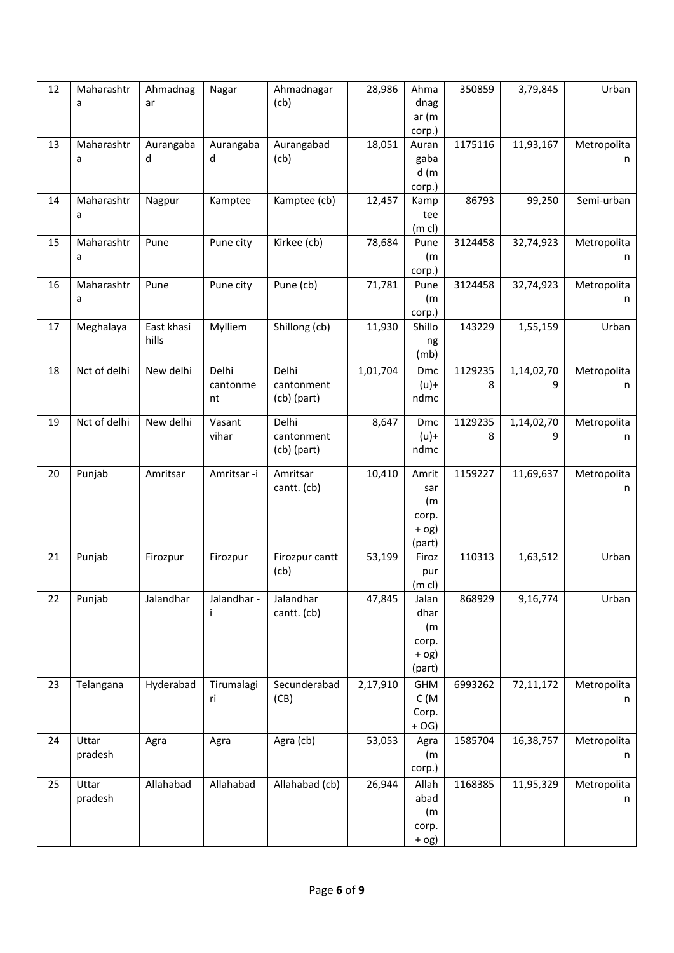| 12 | Maharashtr<br>a  | Ahmadnag<br>ar      | Nagar                   | Ahmadnagar<br>(cb)                   | 28,986   | Ahma<br>dnag<br>ar(m)<br>corp.)                    | 350859       | 3,79,845        | Urban            |
|----|------------------|---------------------|-------------------------|--------------------------------------|----------|----------------------------------------------------|--------------|-----------------|------------------|
| 13 | Maharashtr<br>a  | Aurangaba<br>d      | Aurangaba<br>d          | Aurangabad<br>(cb)                   | 18,051   | Auran<br>gaba<br>d(m)<br>corp.)                    | 1175116      | 11,93,167       | Metropolita<br>n |
| 14 | Maharashtr<br>a  | Nagpur              | Kamptee                 | Kamptee (cb)                         | 12,457   | Kamp<br>tee<br>(m <sub>c</sub> )                   | 86793        | 99,250          | Semi-urban       |
| 15 | Maharashtr<br>a  | Pune                | Pune city               | Kirkee (cb)                          | 78,684   | Pune<br>(m)<br>corp.)                              | 3124458      | 32,74,923       | Metropolita<br>n |
| 16 | Maharashtr<br>a  | Pune                | Pune city               | Pune (cb)                            | 71,781   | Pune<br>(m)<br>corp.)                              | 3124458      | 32,74,923       | Metropolita<br>n |
| 17 | Meghalaya        | East khasi<br>hills | Mylliem                 | Shillong (cb)                        | 11,930   | Shillo<br>ng<br>(mb)                               | 143229       | 1,55,159        | Urban            |
| 18 | Nct of delhi     | New delhi           | Delhi<br>cantonme<br>nt | Delhi<br>cantonment<br>$(cb)$ (part) | 1,01,704 | Dmc<br>$(u)$ +<br>ndmc                             | 1129235<br>8 | 1,14,02,70<br>9 | Metropolita<br>n |
| 19 | Nct of delhi     | New delhi           | Vasant<br>vihar         | Delhi<br>cantonment<br>(cb) (part)   | 8,647    | Dmc<br>$(u)$ +<br>ndmc                             | 1129235<br>8 | 1,14,02,70<br>9 | Metropolita<br>n |
| 20 | Punjab           | Amritsar            | Amritsar -i             | Amritsar<br>cantt. (cb)              | 10,410   | Amrit<br>sar<br>(m)<br>corp.<br>$+$ og)<br>(part)  | 1159227      | 11,69,637       | Metropolita<br>n |
| 21 | Punjab           | Firozpur            | Firozpur                | Firozpur cantt<br>(cb)               | 53,199   | Firoz<br>pur<br>(m <sub>c</sub> )                  | 110313       | 1,63,512        | Urban            |
| 22 | Punjab           | Jalandhar           | Jalandhar -<br>Ť        | Jalandhar<br>cantt. (cb)             | 47,845   | Jalan<br>dhar<br>(m)<br>corp.<br>$+$ og)<br>(part) | 868929       | 9,16,774        | Urban            |
| 23 | Telangana        | Hyderabad           | Tirumalagi<br>ri        | Secunderabad<br>(CB)                 | 2,17,910 | GHM<br>C(M)<br>Corp.<br>$+OG$ )                    | 6993262      | 72,11,172       | Metropolita<br>n |
| 24 | Uttar<br>pradesh | Agra                | Agra                    | Agra (cb)                            | 53,053   | Agra<br>(m<br>corp.)                               | 1585704      | 16,38,757       | Metropolita<br>n |
| 25 | Uttar<br>pradesh | Allahabad           | Allahabad               | Allahabad (cb)                       | 26,944   | Allah<br>abad<br>(m)<br>corp.<br>$+$ og)           | 1168385      | 11,95,329       | Metropolita<br>n |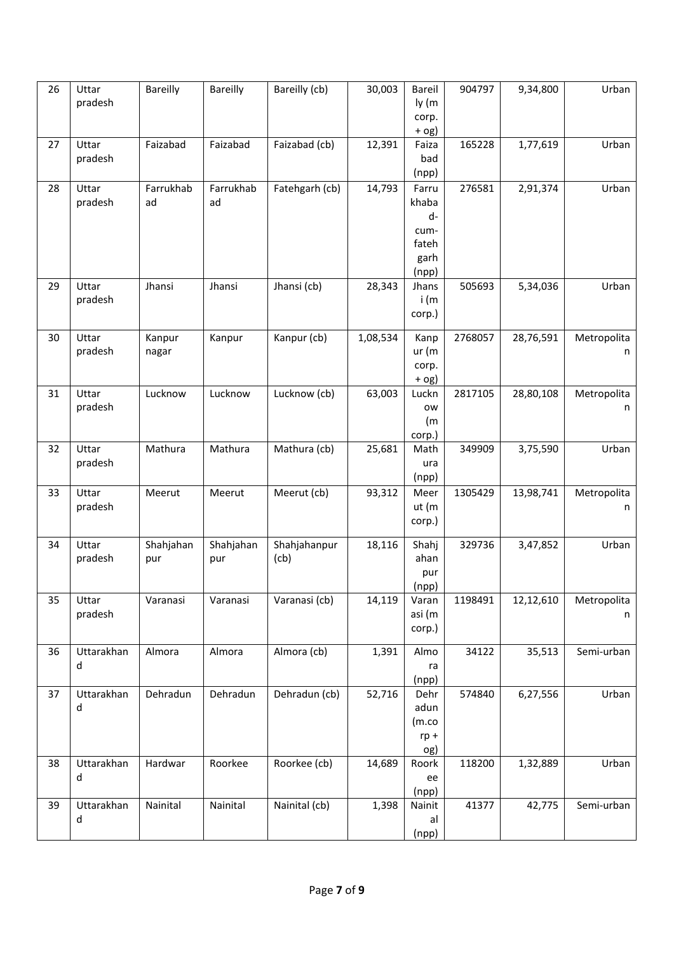| 26 | Uttar<br>pradesh | Bareilly         | <b>Bareilly</b>  | Bareilly (cb)        | 30,003   | Bareil<br>ly (m<br>corp.<br>$+$ 0g)                    | 904797  | 9,34,800  | Urban            |
|----|------------------|------------------|------------------|----------------------|----------|--------------------------------------------------------|---------|-----------|------------------|
| 27 | Uttar<br>pradesh | Faizabad         | Faizabad         | Faizabad (cb)        | 12,391   | Faiza<br>bad<br>(npp)                                  | 165228  | 1,77,619  | Urban            |
| 28 | Uttar<br>pradesh | Farrukhab<br>ad  | Farrukhab<br>ad  | Fatehgarh (cb)       | 14,793   | Farru<br>khaba<br>d-<br>cum-<br>fateh<br>garh<br>(npp) | 276581  | 2,91,374  | Urban            |
| 29 | Uttar<br>pradesh | Jhansi           | Jhansi           | Jhansi (cb)          | 28,343   | Jhans<br>i (m<br>corp.)                                | 505693  | 5,34,036  | Urban            |
| 30 | Uttar<br>pradesh | Kanpur<br>nagar  | Kanpur           | Kanpur (cb)          | 1,08,534 | Kanp<br>ur(m)<br>corp.<br>$+$ og)                      | 2768057 | 28,76,591 | Metropolita<br>n |
| 31 | Uttar<br>pradesh | Lucknow          | Lucknow          | Lucknow (cb)         | 63,003   | Luckn<br>ow<br>(m)<br>corp.)                           | 2817105 | 28,80,108 | Metropolita<br>n |
| 32 | Uttar<br>pradesh | Mathura          | Mathura          | Mathura (cb)         | 25,681   | Math<br>ura<br>(npp)                                   | 349909  | 3,75,590  | Urban            |
| 33 | Uttar<br>pradesh | Meerut           | Meerut           | Meerut (cb)          | 93,312   | Meer<br>ut (m<br>corp.)                                | 1305429 | 13,98,741 | Metropolita<br>n |
| 34 | Uttar<br>pradesh | Shahjahan<br>pur | Shahjahan<br>pur | Shahjahanpur<br>(cb) | 18,116   | Shahj<br>ahan<br>pur<br>(npp)                          | 329736  | 3,47,852  | Urban            |
| 35 | Uttar<br>pradesh | Varanasi         | Varanasi         | Varanasi (cb)        | 14,119   | Varan<br>asi (m<br>corp.)                              | 1198491 | 12,12,610 | Metropolita<br>n |
| 36 | Uttarakhan<br>d  | Almora           | Almora           | Almora (cb)          | 1,391    | Almo<br>ra<br>(npp)                                    | 34122   | 35,513    | Semi-urban       |
| 37 | Uttarakhan<br>d  | Dehradun         | Dehradun         | Dehradun (cb)        | 52,716   | Dehr<br>adun<br>(m.co)<br>$rp +$<br>og)                | 574840  | 6,27,556  | Urban            |
| 38 | Uttarakhan<br>d  | Hardwar          | Roorkee          | Roorkee (cb)         | 14,689   | Roork<br>ee<br>(npp)                                   | 118200  | 1,32,889  | Urban            |
| 39 | Uttarakhan<br>d  | Nainital         | Nainital         | Nainital (cb)        | 1,398    | Nainit<br>al<br>(npp)                                  | 41377   | 42,775    | Semi-urban       |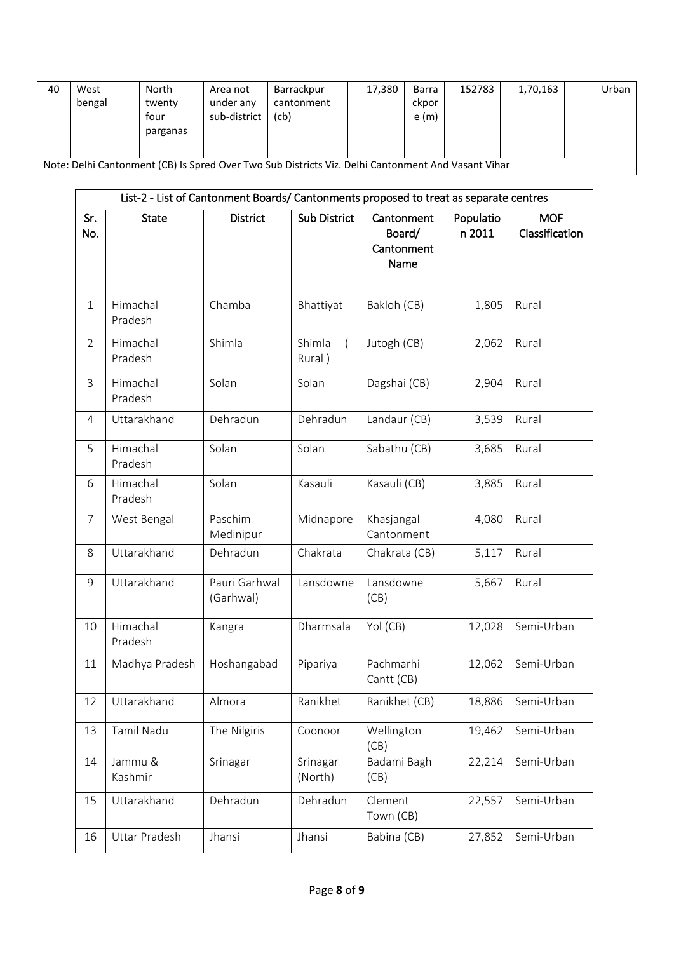| 40                                                                                                 | West<br>bengal | North<br>twenty<br>four<br>parganas | Area not<br>under any<br>sub-district | Barrackpur<br>cantonment<br>(cb) | 17,380 | Barra<br>ckpor<br>e(m) | 152783 | 1,70,163 | Urban |
|----------------------------------------------------------------------------------------------------|----------------|-------------------------------------|---------------------------------------|----------------------------------|--------|------------------------|--------|----------|-------|
|                                                                                                    |                |                                     |                                       |                                  |        |                        |        |          |       |
| Note: Delhi Cantonment (CB) Is Spred Over Two Sub Districts Viz. Delhi Cantonment And Vasant Vihar |                |                                     |                                       |                                  |        |                        |        |          |       |

| List-2 - List of Cantonment Boards/ Cantonments proposed to treat as separate centres |                     |                            |                     |                                            |                     |                              |  |  |  |
|---------------------------------------------------------------------------------------|---------------------|----------------------------|---------------------|--------------------------------------------|---------------------|------------------------------|--|--|--|
| Sr.<br>No.                                                                            | <b>State</b>        | <b>District</b>            | Sub District        | Cantonment<br>Board/<br>Cantonment<br>Name | Populatio<br>n 2011 | <b>MOF</b><br>Classification |  |  |  |
| $\mathbf{1}$                                                                          | Himachal<br>Pradesh | Chamba                     | Bhattiyat           | Bakloh (CB)                                | 1,805               | Rural                        |  |  |  |
| $\overline{2}$                                                                        | Himachal<br>Pradesh | Shimla                     | Shimla<br>Rural)    | Jutogh (CB)                                | 2,062               | Rural                        |  |  |  |
| $\overline{3}$                                                                        | Himachal<br>Pradesh | Solan                      | Solan               | Dagshai (CB)                               | 2,904               | Rural                        |  |  |  |
| 4                                                                                     | Uttarakhand         | Dehradun                   | Dehradun            | Landaur (CB)                               | 3,539               | Rural                        |  |  |  |
| 5                                                                                     | Himachal<br>Pradesh | Solan                      | Solan               | Sabathu (CB)                               | 3,685               | Rural                        |  |  |  |
| 6                                                                                     | Himachal<br>Pradesh | Solan                      | Kasauli             | Kasauli (CB)                               | 3,885               | Rural                        |  |  |  |
| $\overline{7}$                                                                        | West Bengal         | Paschim<br>Medinipur       | Midnapore           | Khasjangal<br>Cantonment                   | 4,080               | Rural                        |  |  |  |
| 8                                                                                     | Uttarakhand         | Dehradun                   | Chakrata            | Chakrata (CB)                              | 5,117               | Rural                        |  |  |  |
| 9                                                                                     | Uttarakhand         | Pauri Garhwal<br>(Garhwal) | Lansdowne           | Lansdowne<br>(CB)                          | 5,667               | Rural                        |  |  |  |
| 10                                                                                    | Himachal<br>Pradesh | Kangra                     | Dharmsala           | Yol (CB)                                   | 12,028              | Semi-Urban                   |  |  |  |
| 11                                                                                    | Madhya Pradesh      | Hoshangabad                | Pipariya            | Pachmarhi<br>Cantt (CB)                    | 12,062              | Semi-Urban                   |  |  |  |
| 12                                                                                    | Uttarakhand         | Almora                     | Ranikhet            | Ranikhet (CB)                              |                     | 18,886 Semi-Urban            |  |  |  |
| 13                                                                                    | Tamil Nadu          | The Nilgiris               | Coonoor             | Wellington<br>(CB)                         | 19,462              | Semi-Urban                   |  |  |  |
| 14                                                                                    | Jammu &<br>Kashmir  | Srinagar                   | Srinagar<br>(North) | Badami Bagh<br>(CB)                        | 22,214              | Semi-Urban                   |  |  |  |
| 15                                                                                    | Uttarakhand         | Dehradun                   | Dehradun            | Clement<br>Town (CB)                       | 22,557              | Semi-Urban                   |  |  |  |
| 16                                                                                    | Uttar Pradesh       | Jhansi                     | Jhansi              | Babina (CB)                                | 27,852              | Semi-Urban                   |  |  |  |